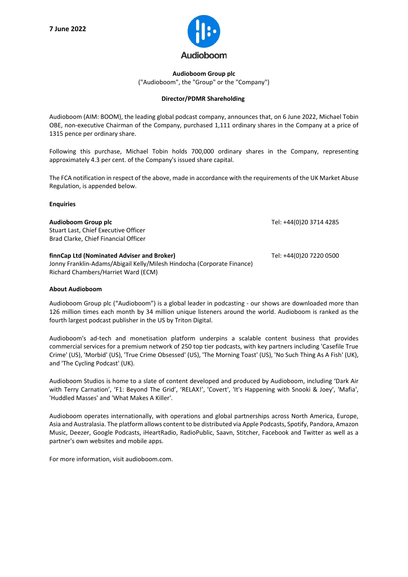

## **Audioboom Group plc** ("Audioboom", the "Group" or the "Company")

## **Director/PDMR Shareholding**

Audioboom (AIM: BOOM), the leading global podcast company, announces that, on 6 June 2022, Michael Tobin OBE, non-executive Chairman of the Company, purchased 1,111 ordinary shares in the Company at a price of 1315 pence per ordinary share.

Following this purchase, Michael Tobin holds 700,000 ordinary shares in the Company, representing approximately 4.3 per cent. of the Company's issued share capital.

The FCA notification in respect of the above, made in accordance with the requirements of the UK Market Abuse Regulation, is appended below.

## **Enquiries**

| Audioboom Group plc<br>Stuart Last, Chief Executive Officer<br>Brad Clarke, Chief Financial Officer                                                         | Tel: +44(0)20 3714 4285 |
|-------------------------------------------------------------------------------------------------------------------------------------------------------------|-------------------------|
| finnCap Ltd (Nominated Adviser and Broker)<br>Jonny Franklin-Adams/Abigail Kelly/Milesh Hindocha (Corporate Finance)<br>Richard Chambers/Harriet Ward (ECM) | Tel: +44(0)20 7220 0500 |

## **About Audioboom**

Audioboom Group plc ("Audioboom") is a global leader in podcasting - our shows are downloaded more than 126 million times each month by 34 million unique listeners around the world. Audioboom is ranked as the fourth largest podcast publisher in the US by Triton Digital.

Audioboom's ad-tech and monetisation platform underpins a scalable content business that provides commercial services for a premium network of 250 top tier podcasts, with key partners including 'Casefile True Crime' (US), 'Morbid' (US), 'True Crime Obsessed' (US), 'The Morning Toast' (US), 'No Such Thing As A Fish' (UK), and 'The Cycling Podcast' (UK).

Audioboom Studios is home to a slate of content developed and produced by Audioboom, including 'Dark Air with Terry Carnation', 'F1: Beyond The Grid', 'RELAX!', 'Covert', 'It's Happening with Snooki & Joey', 'Mafia', 'Huddled Masses' and 'What Makes A Killer'.

Audioboom operates internationally, with operations and global partnerships across North America, Europe, Asia and Australasia. The platform allows content to be distributed via Apple Podcasts, Spotify, Pandora, Amazon Music, Deezer, Google Podcasts, iHeartRadio, RadioPublic, Saavn, Stitcher, Facebook and Twitter as well as a partner's own websites and mobile apps.

For more information, visit audioboom.com.